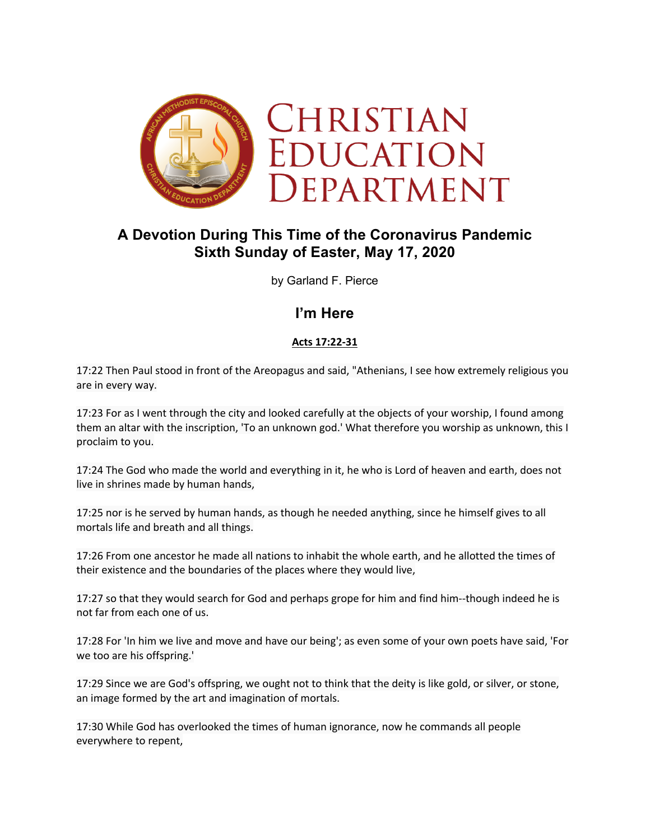

# **A Devotion During This Time of the Coronavirus Pandemic Sixth Sunday of Easter, May 17, 2020**

by Garland F. Pierce

## **I'm Here**

### **Acts 17:22-31**

17:22 Then Paul stood in front of the Areopagus and said, "Athenians, I see how extremely religious you are in every way.

17:23 For as I went through the city and looked carefully at the objects of your worship, I found among them an altar with the inscription, 'To an unknown god.' What therefore you worship as unknown, this I proclaim to you.

17:24 The God who made the world and everything in it, he who is Lord of heaven and earth, does not live in shrines made by human hands,

17:25 nor is he served by human hands, as though he needed anything, since he himself gives to all mortals life and breath and all things.

17:26 From one ancestor he made all nations to inhabit the whole earth, and he allotted the times of their existence and the boundaries of the places where they would live,

17:27 so that they would search for God and perhaps grope for him and find him--though indeed he is not far from each one of us.

17:28 For 'In him we live and move and have our being'; as even some of your own poets have said, 'For we too are his offspring.'

17:29 Since we are God's offspring, we ought not to think that the deity is like gold, or silver, or stone, an image formed by the art and imagination of mortals.

17:30 While God has overlooked the times of human ignorance, now he commands all people everywhere to repent,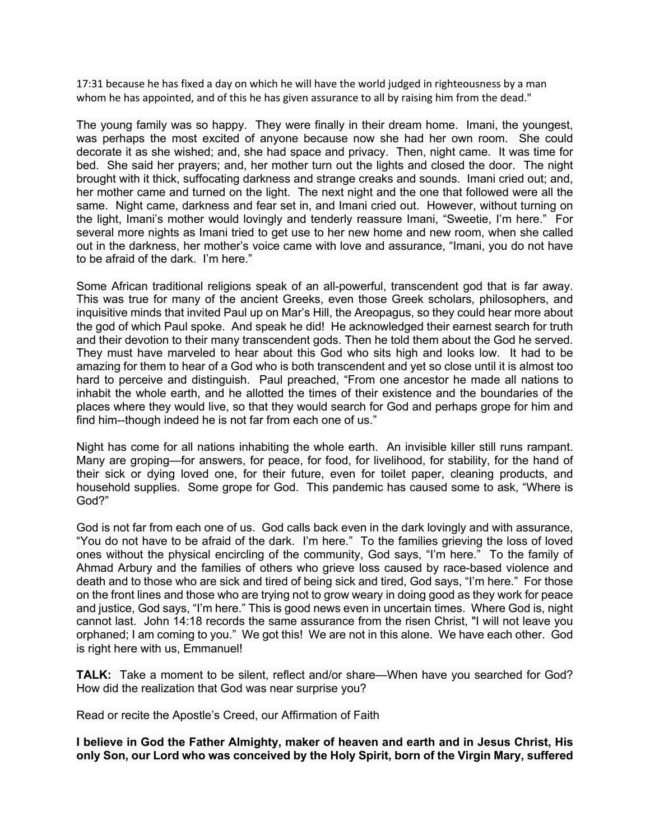17:31 because he has fixed a day on which he will have the world judged in righteousness by a man whom he has appointed, and of this he has given assurance to all by raising him from the dead."

The young family was so happy. They were finally in their dream home. Imani, the youngest, was perhaps the most excited of anyone because now she had her own room. She could decorate it as she wished; and, she had space and privacy. Then, night came. It was time for bed. She said her prayers; and, her mother turn out the lights and closed the door. The night brought with it thick, suffocating darkness and strange creaks and sounds. Imani cried out; and, her mother came and turned on the light. The next night and the one that followed were all the same. Night came, darkness and fear set in, and Imani cried out. However, without turning on the light, Imani's mother would lovingly and tenderly reassure Imani, "Sweetie, I'm here." For several more nights as Imani tried to get use to her new home and new room, when she called out in the darkness, her mother's voice came with love and assurance, "Imani, you do not have to be afraid of the dark. I'm here."

Some African traditional religions speak of an all-powerful, transcendent god that is far away. This was true for many of the ancient Greeks, even those Greek scholars, philosophers, and inquisitive minds that invited Paul up on Mar's Hill, the Areopagus, so they could hear more about the god of which Paul spoke. And speak he did! He acknowledged their earnest search for truth and their devotion to their many transcendent gods. Then he told them about the God he served. They must have marveled to hear about this God who sits high and looks low. It had to be amazing for them to hear of a God who is both transcendent and yet so close until it is almost too hard to perceive and distinguish. Paul preached, "From one ancestor he made all nations to inhabit the whole earth, and he allotted the times of their existence and the boundaries of the places where they would live, so that they would search for God and perhaps grope for him and find him--though indeed he is not far from each one of us."

Night has come for all nations inhabiting the whole earth. An invisible killer still runs rampant. Many are groping—for answers, for peace, for food, for livelihood, for stability, for the hand of their sick or dying loved one, for their future, even for toilet paper, cleaning products, and household supplies. Some grope for God. This pandemic has caused some to ask, "Where is God?"

God is not far from each one of us. God calls back even in the dark lovingly and with assurance, "You do not have to be afraid of the dark. I'm here." To the families grieving the loss of loved ones without the physical encircling of the community, God says, "I'm here." To the family of Ahmad Arbury and the families of others who grieve loss caused by race-based violence and death and to those who are sick and tired of being sick and tired, God says, "I'm here." For those on the front lines and those who are trying not to grow weary in doing good as they work for peace and justice, God says, "I'm here." This is good news even in uncertain times. Where God is, night cannot last. John 14:18 records the same assurance from the risen Christ, "I will not leave you orphaned; I am coming to you." We got this! We are not in this alone. We have each other. God is right here with us, Emmanuel!

**TALK:** Take a moment to be silent, reflect and/or share—When have you searched for God? How did the realization that God was near surprise you?

Read or recite the Apostle's Creed, our Affirmation of Faith

**I believe in God the Father Almighty, maker of heaven and earth and in Jesus Christ, His only Son, our Lord who was conceived by the Holy Spirit, born of the Virgin Mary, suffered**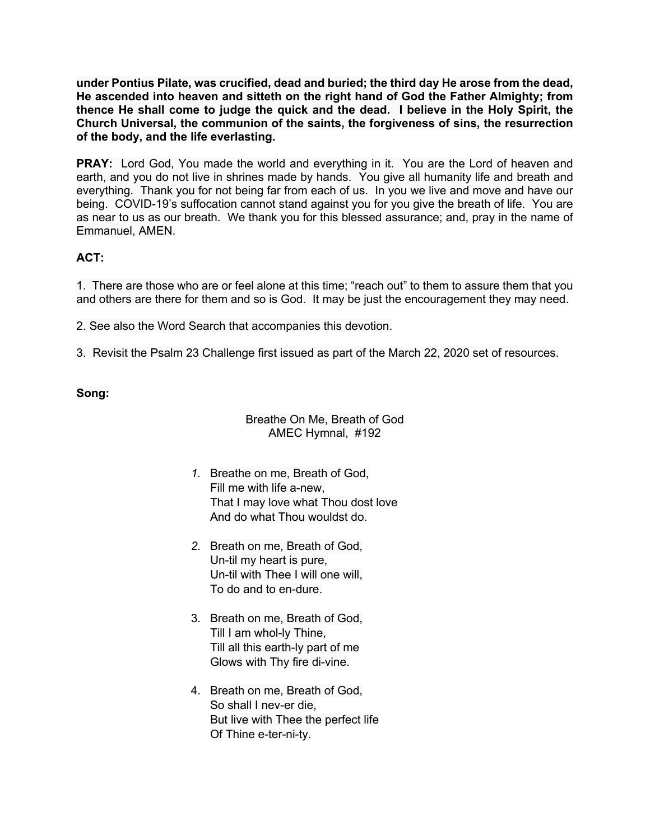**under Pontius Pilate, was crucified, dead and buried; the third day He arose from the dead, He ascended into heaven and sitteth on the right hand of God the Father Almighty; from thence He shall come to judge the quick and the dead. I believe in the Holy Spirit, the Church Universal, the communion of the saints, the forgiveness of sins, the resurrection of the body, and the life everlasting.**

**PRAY:** Lord God, You made the world and everything in it. You are the Lord of heaven and earth, and you do not live in shrines made by hands. You give all humanity life and breath and everything. Thank you for not being far from each of us. In you we live and move and have our being. COVID-19's suffocation cannot stand against you for you give the breath of life. You are as near to us as our breath. We thank you for this blessed assurance; and, pray in the name of Emmanuel, AMEN.

## **ACT:**

1. There are those who are or feel alone at this time; "reach out" to them to assure them that you and others are there for them and so is God. It may be just the encouragement they may need.

2. See also the Word Search that accompanies this devotion.

3. Revisit the Psalm 23 Challenge first issued as part of the March 22, 2020 set of resources.

#### **Song:**

#### Breathe On Me, Breath of God AMEC Hymnal, #192

- *1.* Breathe on me, Breath of God, Fill me with life a-new, That I may love what Thou dost love And do what Thou wouldst do.
- *2.* Breath on me, Breath of God, Un-til my heart is pure, Un-til with Thee I will one will, To do and to en-dure.
- 3. Breath on me, Breath of God, Till I am whol-ly Thine, Till all this earth-ly part of me Glows with Thy fire di-vine.
- 4. Breath on me, Breath of God, So shall I nev-er die, But live with Thee the perfect life Of Thine e-ter-ni-ty.